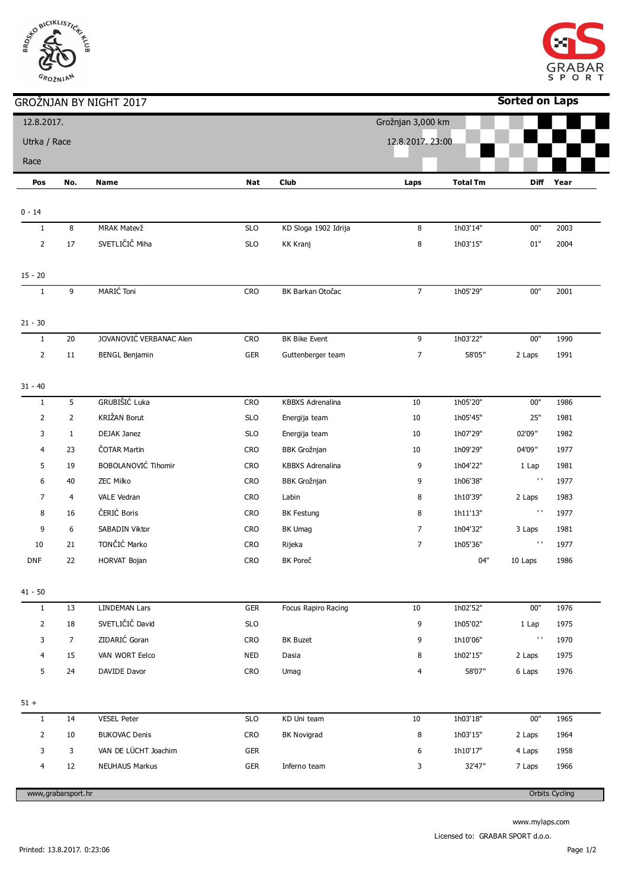## SE BICIKLISTICK GROŽNJAN

## GROŽNJAN BY NIGHT 2017



| Sorted on Laps |  |
|----------------|--|
|----------------|--|

|                           |                    | עבעג וווטוויו זים וואנעוגערעט |            |                         |                   |                 | בקום זוט וטכ   |                       |
|---------------------------|--------------------|-------------------------------|------------|-------------------------|-------------------|-----------------|----------------|-----------------------|
| 12.8.2017.                |                    |                               |            |                         | Grožnjan 3,000 km |                 |                |                       |
| Utrka / Race              |                    |                               |            |                         | 12.8.2017.23:00   |                 |                |                       |
| Race                      |                    |                               |            |                         |                   |                 |                |                       |
|                           | No.                |                               |            | <b>Club</b>             |                   | <b>Total Tm</b> | <b>Diff</b>    | Year                  |
| Pos                       |                    | Name                          | Nat        |                         | Laps              |                 |                |                       |
| $0 - 14$                  |                    |                               |            |                         |                   |                 |                |                       |
| $\mathbf{1}$              | 8                  | MRAK Matevž                   | SLO        | KD Sloga 1902 Idrija    | 8                 | 1h03'14"        | $00"$          | 2003                  |
| $\overline{2}$            | 17                 | SVETLIČIČ Miha                | SLO        | <b>KK Kranj</b>         | 8                 | 1h03'15"        | $01\mathrm{"}$ | 2004                  |
|                           |                    |                               |            |                         |                   |                 |                |                       |
| $15 - 20$                 |                    |                               |            |                         |                   |                 |                |                       |
| $\mathbf{1}$              | 9                  | MARIĆ Toni                    | CRO        | BK Barkan Otočac        | $7\overline{ }$   | 1h05'29"        | $00"$          | 2001                  |
|                           |                    |                               |            |                         |                   |                 |                |                       |
| $21 - 30$<br>$\mathbf{1}$ | 20                 | JOVANOVIĆ VERBANAC Alen       | CRO        | BK Bike Event           | 9                 | 1h03'22"        | 00"            | 1990                  |
| $\overline{2}$            | 11                 | <b>BENGL Benjamin</b>         | GER        | Guttenberger team       | $\overline{7}$    | 58'05"          | 2 Laps         | 1991                  |
|                           |                    |                               |            |                         |                   |                 |                |                       |
| $31 - 40$                 |                    |                               |            |                         |                   |                 |                |                       |
| $\mathbf{1}$              | 5                  | GRUBIŠIĆ Luka                 | CRO        | <b>KBBXS Adrenalina</b> | 10                | 1h05'20"        | $00"$          | 1986                  |
| $\overline{2}$            | $\overline{2}$     | KRIŽAN Borut                  | <b>SLO</b> | Energija team           | 10                | 1h05'45"        | 25"            | 1981                  |
| 3                         | $\mathbf{1}$       | DEJAK Janez                   | <b>SLO</b> | Energija team           | 10                | 1h07'29"        | 02'09"         | 1982                  |
| 4                         | 23                 | ČOTAR Martin                  | <b>CRO</b> | <b>BBK Grožnjan</b>     | 10                | 1h09'29"        | 04'09"         | 1977                  |
| 5                         | 19                 | BOBOLANOVIĆ Tihomir           | CRO        | <b>KBBXS Adrenalina</b> | 9                 | 1h04'22"        | 1 Lap          | 1981                  |
| 6                         | 40                 | ZEC Milko                     | <b>CRO</b> | <b>BBK Grožnjan</b>     | 9                 | 1h06'38"        | $\mathbf{1}$   | 1977                  |
| $\overline{7}$            | 4                  | VALE Vedran                   | <b>CRO</b> | Labin                   | 8                 | 1h10'39"        | 2 Laps         | 1983                  |
| 8                         | 16                 | ČERIĆ Boris                   | <b>CRO</b> | <b>BK Festung</b>       | 8                 | 1h11'13"        | $\mathbf{1}$   | 1977                  |
| 9                         | 6                  | SABADIN Viktor                | <b>CRO</b> | BK Umag                 | 7                 | 1h04'32"        | 3 Laps         | 1981                  |
| 10                        | 21                 | TONČIĆ Marko                  | <b>CRO</b> | Rijeka                  | $\overline{7}$    | 1h05'36"        | $\mathbf{1}$   | 1977                  |
| <b>DNF</b>                | 22                 | HORVAT Bojan                  | <b>CRO</b> | BK Poreč                |                   | 04"             | 10 Laps        | 1986                  |
|                           |                    |                               |            |                         |                   |                 |                |                       |
| $41 - 50$<br>$\mathbf{1}$ | 13                 | <b>LINDEMAN Lars</b>          | GER        | Focus Rapiro Racing     | 10                | 1h02'52"        | $00"$          | 1976                  |
|                           |                    | SVETLIČIČ David               |            |                         |                   |                 |                |                       |
| $\overline{2}$            | 18                 | ZIDARIĆ Goran                 | <b>SLO</b> |                         | 9                 | 1h05'02"        | 1 Lap<br>$\pm$ | 1975                  |
| 3                         | $7\overline{ }$    | VAN WORT Eelco                | <b>CRO</b> | <b>BK Buzet</b>         | 9                 | 1h10'06"        |                | 1970                  |
| 4                         | 15                 |                               | <b>NED</b> | Dasia                   | 8                 | 1h02'15"        | 2 Laps         | 1975                  |
| 5                         | 24                 | DAVIDE Davor                  | <b>CRO</b> | Umag                    | 4                 | 58'07"          | 6 Laps         | 1976                  |
| $51 +$                    |                    |                               |            |                         |                   |                 |                |                       |
| $\mathbf{1}$              | 14                 | <b>VESEL Peter</b>            | <b>SLO</b> | KD Uni team             | 10                | 1h03'18"        | 00"            | 1965                  |
| $\overline{2}$            | 10                 | <b>BUKOVAC Denis</b>          | <b>CRO</b> | <b>BK Novigrad</b>      | 8                 | 1h03'15"        | 2 Laps         | 1964                  |
| 3                         | 3                  | VAN DE LÜCHT Joachim          | <b>GER</b> |                         | 6                 | 1h10'17"        | 4 Laps         | 1958                  |
| 4                         | 12                 | <b>NEUHAUS Markus</b>         | <b>GER</b> | Inferno team            | 3                 | 32'47"          | 7 Laps         | 1966                  |
|                           | www,grabarsport.hr |                               |            |                         |                   |                 |                | <b>Orbits Cycling</b> |
|                           |                    |                               |            |                         |                   |                 |                |                       |

www.mylaps.com

Licensed to: GRABAR SPORT d.o.o.